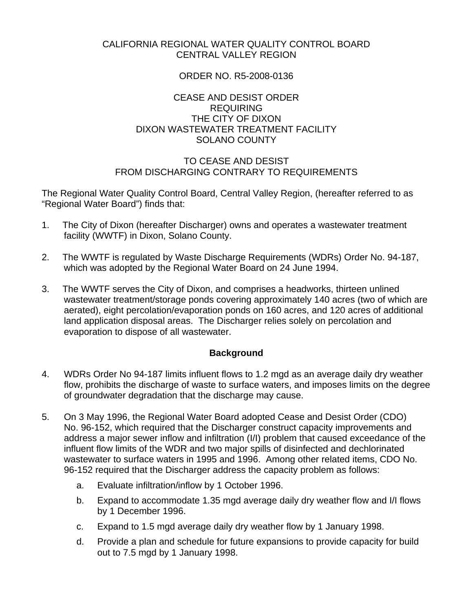#### CALIFORNIA REGIONAL WATER QUALITY CONTROL BOARD CENTRAL VALLEY REGION

### ORDER NO. R5-2008-0136

## CEASE AND DESIST ORDER REQUIRING THE CITY OF DIXON DIXON WASTEWATER TREATMENT FACILITY SOLANO COUNTY

## TO CEASE AND DESIST FROM DISCHARGING CONTRARY TO REQUIREMENTS

The Regional Water Quality Control Board, Central Valley Region, (hereafter referred to as "Regional Water Board") finds that:

- 1. The City of Dixon (hereafter Discharger) owns and operates a wastewater treatment facility (WWTF) in Dixon, Solano County.
- 2. The WWTF is regulated by Waste Discharge Requirements (WDRs) Order No. 94-187, which was adopted by the Regional Water Board on 24 June 1994.
- 3. The WWTF serves the City of Dixon, and comprises a headworks, thirteen unlined wastewater treatment/storage ponds covering approximately 140 acres (two of which are aerated), eight percolation/evaporation ponds on 160 acres, and 120 acres of additional land application disposal areas. The Discharger relies solely on percolation and evaporation to dispose of all wastewater.

# **Background**

- 4. WDRs Order No 94-187 limits influent flows to 1.2 mgd as an average daily dry weather flow, prohibits the discharge of waste to surface waters, and imposes limits on the degree of groundwater degradation that the discharge may cause.
- 5. On 3 May 1996, the Regional Water Board adopted Cease and Desist Order (CDO) No. 96-152, which required that the Discharger construct capacity improvements and address a major sewer inflow and infiltration (I/I) problem that caused exceedance of the influent flow limits of the WDR and two major spills of disinfected and dechlorinated wastewater to surface waters in 1995 and 1996. Among other related items, CDO No. 96-152 required that the Discharger address the capacity problem as follows:
	- a. Evaluate infiltration/inflow by 1 October 1996.
	- b. Expand to accommodate 1.35 mgd average daily dry weather flow and I/I flows by 1 December 1996.
	- c. Expand to 1.5 mgd average daily dry weather flow by 1 January 1998.
	- d. Provide a plan and schedule for future expansions to provide capacity for build out to 7.5 mgd by 1 January 1998.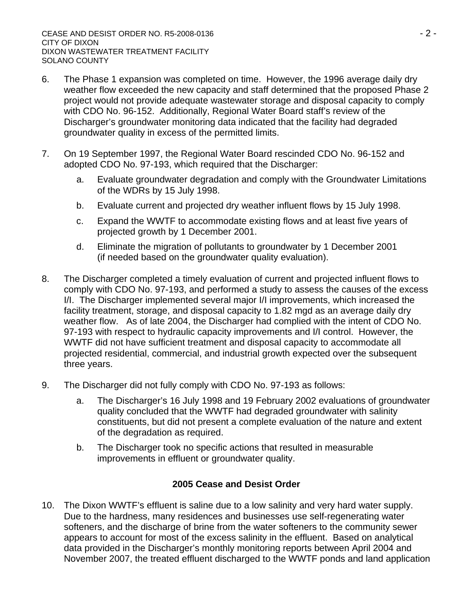- 6. The Phase 1 expansion was completed on time. However, the 1996 average daily dry weather flow exceeded the new capacity and staff determined that the proposed Phase 2 project would not provide adequate wastewater storage and disposal capacity to comply with CDO No. 96-152. Additionally, Regional Water Board staff's review of the Discharger's groundwater monitoring data indicated that the facility had degraded groundwater quality in excess of the permitted limits.
- 7. On 19 September 1997, the Regional Water Board rescinded CDO No. 96-152 and adopted CDO No. 97-193, which required that the Discharger:
	- a. Evaluate groundwater degradation and comply with the Groundwater Limitations of the WDRs by 15 July 1998.
	- b. Evaluate current and projected dry weather influent flows by 15 July 1998.
	- c. Expand the WWTF to accommodate existing flows and at least five years of projected growth by 1 December 2001.
	- d. Eliminate the migration of pollutants to groundwater by 1 December 2001 (if needed based on the groundwater quality evaluation).
- 8. The Discharger completed a timely evaluation of current and projected influent flows to comply with CDO No. 97-193, and performed a study to assess the causes of the excess I/I. The Discharger implemented several major I/I improvements, which increased the facility treatment, storage, and disposal capacity to 1.82 mgd as an average daily dry weather flow. As of late 2004, the Discharger had complied with the intent of CDO No. 97-193 with respect to hydraulic capacity improvements and I/I control. However, the WWTF did not have sufficient treatment and disposal capacity to accommodate all projected residential, commercial, and industrial growth expected over the subsequent three years.
- 9. The Discharger did not fully comply with CDO No. 97-193 as follows:
	- a. The Discharger's 16 July 1998 and 19 February 2002 evaluations of groundwater quality concluded that the WWTF had degraded groundwater with salinity constituents, but did not present a complete evaluation of the nature and extent of the degradation as required.
	- b. The Discharger took no specific actions that resulted in measurable improvements in effluent or groundwater quality.

# **2005 Cease and Desist Order**

10. The Dixon WWTF's effluent is saline due to a low salinity and very hard water supply. Due to the hardness, many residences and businesses use self-regenerating water softeners, and the discharge of brine from the water softeners to the community sewer appears to account for most of the excess salinity in the effluent. Based on analytical data provided in the Discharger's monthly monitoring reports between April 2004 and November 2007, the treated effluent discharged to the WWTF ponds and land application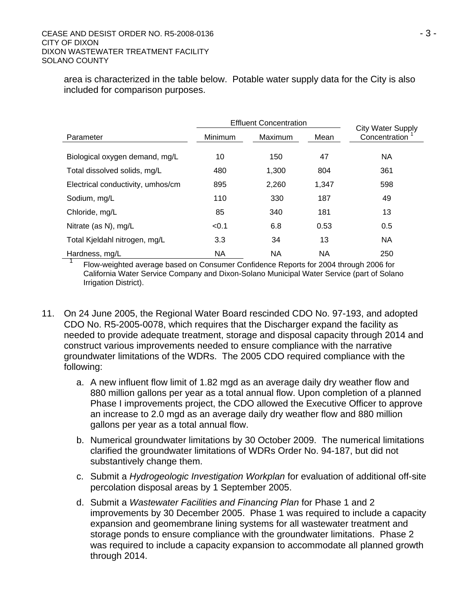area is characterized in the table below. Potable water supply data for the City is also included for comparison purposes.

|                                   | <b>Effluent Concentration</b> |         |       | <b>City Water Supply</b> |
|-----------------------------------|-------------------------------|---------|-------|--------------------------|
| Parameter                         | Minimum                       | Maximum | Mean  | Concentration            |
| Biological oxygen demand, mg/L    | 10                            | 150     | 47    | NA                       |
| Total dissolved solids, mg/L      | 480                           | 1,300   | 804   | 361                      |
| Electrical conductivity, umhos/cm | 895                           | 2,260   | 1,347 | 598                      |
| Sodium, mg/L                      | 110                           | 330     | 187   | 49                       |
| Chloride, mg/L                    | 85                            | 340     | 181   | 13                       |
| Nitrate (as N), mg/L              | < 0.1                         | 6.8     | 0.53  | 0.5                      |
| Total Kjeldahl nitrogen, mg/L     | 3.3                           | 34      | 13    | NA                       |
| Hardness, mg/L                    | <b>NA</b>                     | NA      | NA    | 250                      |

1 Flow-weighted average based on Consumer Confidence Reports for 2004 through 2006 for California Water Service Company and Dixon-Solano Municipal Water Service (part of Solano Irrigation District).

- 11. On 24 June 2005, the Regional Water Board rescinded CDO No. 97-193, and adopted CDO No. R5-2005-0078, which requires that the Discharger expand the facility as needed to provide adequate treatment, storage and disposal capacity through 2014 and construct various improvements needed to ensure compliance with the narrative groundwater limitations of the WDRs. The 2005 CDO required compliance with the following:
	- a. A new influent flow limit of 1.82 mgd as an average daily dry weather flow and 880 million gallons per year as a total annual flow. Upon completion of a planned Phase I improvements project, the CDO allowed the Executive Officer to approve an increase to 2.0 mgd as an average daily dry weather flow and 880 million gallons per year as a total annual flow.
	- b. Numerical groundwater limitations by 30 October 2009. The numerical limitations clarified the groundwater limitations of WDRs Order No. 94-187, but did not substantively change them.
	- c. Submit a *Hydrogeologic Investigation Workplan* for evaluation of additional off-site percolation disposal areas by 1 September 2005.
	- d. Submit a *Wastewater Facilities and Financing Plan* for Phase 1 and 2 improvements by 30 December 2005. Phase 1 was required to include a capacity expansion and geomembrane lining systems for all wastewater treatment and storage ponds to ensure compliance with the groundwater limitations. Phase 2 was required to include a capacity expansion to accommodate all planned growth through 2014.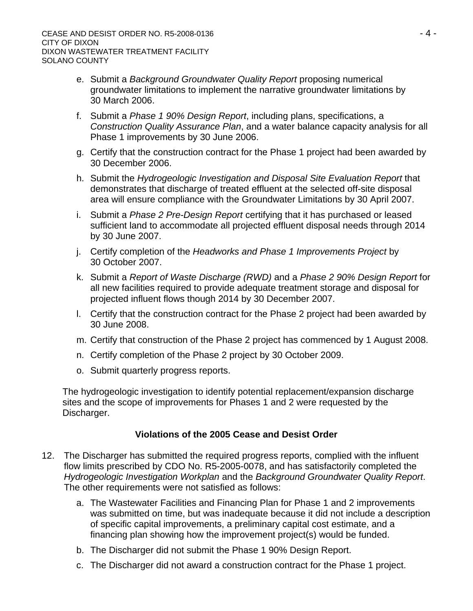- e. Submit a *Background Groundwater Quality Report* proposing numerical groundwater limitations to implement the narrative groundwater limitations by 30 March 2006.
- f. Submit a *Phase 1 90% Design Report*, including plans, specifications, a *Construction Quality Assurance Plan*, and a water balance capacity analysis for all Phase 1 improvements by 30 June 2006.
- g. Certify that the construction contract for the Phase 1 project had been awarded by 30 December 2006.
- h. Submit the *Hydrogeologic Investigation and Disposal Site Evaluation Report* that demonstrates that discharge of treated effluent at the selected off-site disposal area will ensure compliance with the Groundwater Limitations by 30 April 2007.
- i. Submit a *Phase 2 Pre-Design Report* certifying that it has purchased or leased sufficient land to accommodate all projected effluent disposal needs through 2014 by 30 June 2007.
- j. Certify completion of the *Headworks and Phase 1 Improvements Project* by 30 October 2007.
- k. Submit a *Report of Waste Discharge (RWD)* and a *Phase 2 90% Design Report* for all new facilities required to provide adequate treatment storage and disposal for projected influent flows though 2014 by 30 December 2007.
- l. Certify that the construction contract for the Phase 2 project had been awarded by 30 June 2008.
- m. Certify that construction of the Phase 2 project has commenced by 1 August 2008.
- n. Certify completion of the Phase 2 project by 30 October 2009.
- o. Submit quarterly progress reports.

The hydrogeologic investigation to identify potential replacement/expansion discharge sites and the scope of improvements for Phases 1 and 2 were requested by the Discharger.

# **Violations of the 2005 Cease and Desist Order**

- 12. The Discharger has submitted the required progress reports, complied with the influent flow limits prescribed by CDO No. R5-2005-0078, and has satisfactorily completed the *Hydrogeologic Investigation Workplan* and the *Background Groundwater Quality Report*. The other requirements were not satisfied as follows:
	- a. The Wastewater Facilities and Financing Plan for Phase 1 and 2 improvements was submitted on time, but was inadequate because it did not include a description of specific capital improvements, a preliminary capital cost estimate, and a financing plan showing how the improvement project(s) would be funded.
	- b. The Discharger did not submit the Phase 1 90% Design Report.
	- c. The Discharger did not award a construction contract for the Phase 1 project.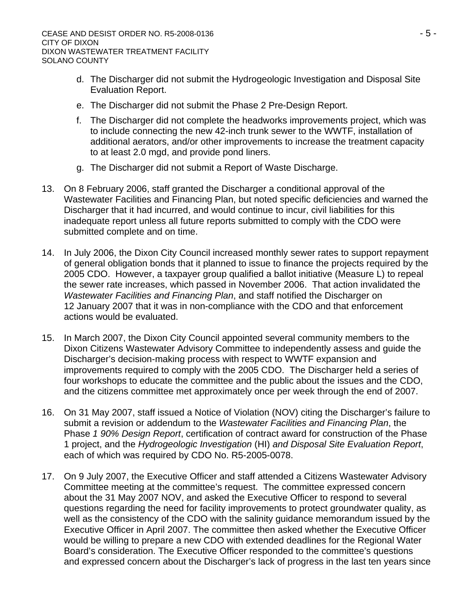- d. The Discharger did not submit the Hydrogeologic Investigation and Disposal Site Evaluation Report.
- e. The Discharger did not submit the Phase 2 Pre-Design Report.
- f. The Discharger did not complete the headworks improvements project, which was to include connecting the new 42-inch trunk sewer to the WWTF, installation of additional aerators, and/or other improvements to increase the treatment capacity to at least 2.0 mgd, and provide pond liners.
- g. The Discharger did not submit a Report of Waste Discharge.
- 13. On 8 February 2006, staff granted the Discharger a conditional approval of the Wastewater Facilities and Financing Plan, but noted specific deficiencies and warned the Discharger that it had incurred, and would continue to incur, civil liabilities for this inadequate report unless all future reports submitted to comply with the CDO were submitted complete and on time.
- 14. In July 2006, the Dixon City Council increased monthly sewer rates to support repayment of general obligation bonds that it planned to issue to finance the projects required by the 2005 CDO. However, a taxpayer group qualified a ballot initiative (Measure L) to repeal the sewer rate increases, which passed in November 2006. That action invalidated the *Wastewater Facilities and Financing Plan*, and staff notified the Discharger on 12 January 2007 that it was in non-compliance with the CDO and that enforcement actions would be evaluated.
- 15. In March 2007, the Dixon City Council appointed several community members to the Dixon Citizens Wastewater Advisory Committee to independently assess and guide the Discharger's decision-making process with respect to WWTF expansion and improvements required to comply with the 2005 CDO. The Discharger held a series of four workshops to educate the committee and the public about the issues and the CDO, and the citizens committee met approximately once per week through the end of 2007.
- 16. On 31 May 2007, staff issued a Notice of Violation (NOV) citing the Discharger's failure to submit a revision or addendum to the *Wastewater Facilities and Financing Plan*, the Phase *1 90% Design Report*, certification of contract award for construction of the Phase 1 project, and the *Hydrogeologic Investigation* (HI) *and Disposal Site Evaluation Report*, each of which was required by CDO No. R5-2005-0078.
- 17. On 9 July 2007, the Executive Officer and staff attended a Citizens Wastewater Advisory Committee meeting at the committee's request. The committee expressed concern about the 31 May 2007 NOV, and asked the Executive Officer to respond to several questions regarding the need for facility improvements to protect groundwater quality, as well as the consistency of the CDO with the salinity guidance memorandum issued by the Executive Officer in April 2007. The committee then asked whether the Executive Officer would be willing to prepare a new CDO with extended deadlines for the Regional Water Board's consideration. The Executive Officer responded to the committee's questions and expressed concern about the Discharger's lack of progress in the last ten years since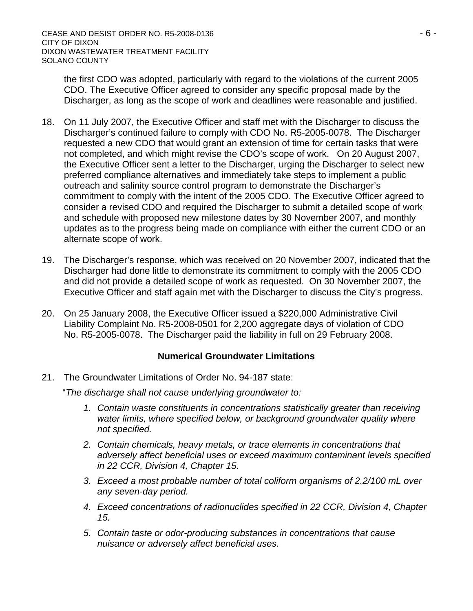the first CDO was adopted, particularly with regard to the violations of the current 2005 CDO. The Executive Officer agreed to consider any specific proposal made by the Discharger, as long as the scope of work and deadlines were reasonable and justified.

- 18. On 11 July 2007, the Executive Officer and staff met with the Discharger to discuss the Discharger's continued failure to comply with CDO No. R5-2005-0078. The Discharger requested a new CDO that would grant an extension of time for certain tasks that were not completed, and which might revise the CDO's scope of work. On 20 August 2007, the Executive Officer sent a letter to the Discharger, urging the Discharger to select new preferred compliance alternatives and immediately take steps to implement a public outreach and salinity source control program to demonstrate the Discharger's commitment to comply with the intent of the 2005 CDO. The Executive Officer agreed to consider a revised CDO and required the Discharger to submit a detailed scope of work and schedule with proposed new milestone dates by 30 November 2007, and monthly updates as to the progress being made on compliance with either the current CDO or an alternate scope of work.
- 19. The Discharger's response, which was received on 20 November 2007, indicated that the Discharger had done little to demonstrate its commitment to comply with the 2005 CDO and did not provide a detailed scope of work as requested. On 30 November 2007, the Executive Officer and staff again met with the Discharger to discuss the City's progress.
- 20. On 25 January 2008, the Executive Officer issued a \$220,000 Administrative Civil Liability Complaint No. R5-2008-0501 for 2,200 aggregate days of violation of CDO No. R5-2005-0078. The Discharger paid the liability in full on 29 February 2008.

#### **Numerical Groundwater Limitations**

21. The Groundwater Limitations of Order No. 94-187 state:

"*The discharge shall not cause underlying groundwater to:* 

- 1. Contain waste constituents in concentrations statistically greater than receiving *water limits, where specified below, or background groundwater quality where not specified.*
- *2. Contain chemicals, heavy metals, or trace elements in concentrations that adversely affect beneficial uses or exceed maximum contaminant levels specified in 22 CCR, Division 4, Chapter 15.*
- *3. Exceed a most probable number of total coliform organisms of 2.2/100 mL over any seven-day period.*
- *4. Exceed concentrations of radionuclides specified in 22 CCR, Division 4, Chapter 15.*
- *5. Contain taste or odor-producing substances in concentrations that cause nuisance or adversely affect beneficial uses.*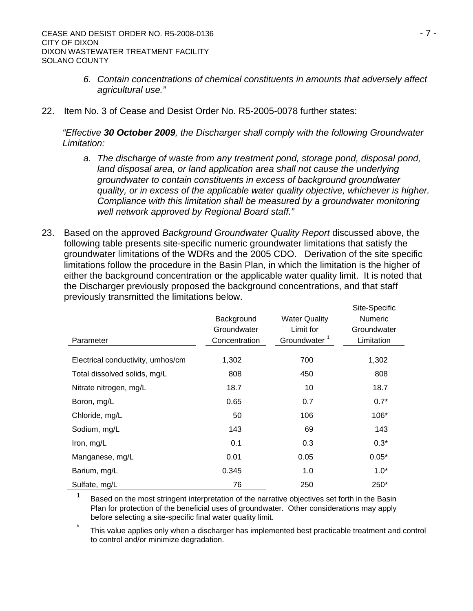- *6. Contain concentrations of chemical constituents in amounts that adversely affect agricultural use."*
- 22. Item No. 3 of Cease and Desist Order No. R5-2005-0078 further states:

*"Effective 30 October 2009, the Discharger shall comply with the following Groundwater Limitation:* 

- *a. The discharge of waste from any treatment pond, storage pond, disposal pond,*  land disposal area, or land application area shall not cause the underlying *groundwater to contain constituents in excess of background groundwater quality, or in excess of the applicable water quality objective, whichever is higher. Compliance with this limitation shall be measured by a groundwater monitoring well network approved by Regional Board staff."*
- 23. Based on the approved *Background Groundwater Quality Report* discussed above, the following table presents site-specific numeric groundwater limitations that satisfy the groundwater limitations of the WDRs and the 2005 CDO. Derivation of the site specific limitations follow the procedure in the Basin Plan, in which the limitation is the higher of either the background concentration or the applicable water quality limit. It is noted that the Discharger previously proposed the background concentrations, and that staff previously transmitted the limitations below.

| Parameter                         | Background<br>Groundwater<br>Concentration | <b>Water Quality</b><br>Limit for<br>Groundwater <sup>1</sup> | Site-Specific<br><b>Numeric</b><br>Groundwater<br>Limitation |
|-----------------------------------|--------------------------------------------|---------------------------------------------------------------|--------------------------------------------------------------|
|                                   |                                            |                                                               |                                                              |
| Electrical conductivity, umhos/cm | 1,302                                      | 700                                                           | 1,302                                                        |
| Total dissolved solids, mg/L      | 808                                        | 450                                                           | 808                                                          |
| Nitrate nitrogen, mg/L            | 18.7                                       | 10                                                            | 18.7                                                         |
| Boron, mg/L                       | 0.65                                       | 0.7                                                           | $0.7*$                                                       |
| Chloride, mg/L                    | 50                                         | 106                                                           | 106*                                                         |
| Sodium, mg/L                      | 143                                        | 69                                                            | 143                                                          |
| Iron, mg/L                        | 0.1                                        | 0.3                                                           | $0.3*$                                                       |
| Manganese, mg/L                   | 0.01                                       | 0.05                                                          | $0.05*$                                                      |
| Barium, mg/L                      | 0.345                                      | 1.0                                                           | $1.0*$                                                       |
| Sulfate, mg/L                     | 76                                         | 250                                                           | 250*                                                         |

<sup>1</sup> Based on the most stringent interpretation of the narrative objectives set forth in the Basin Plan for protection of the beneficial uses of groundwater. Other considerations may apply before selecting a site-specific final water quality limit.

This value applies only when a discharger has implemented best practicable treatment and control to control and/or minimize degradation.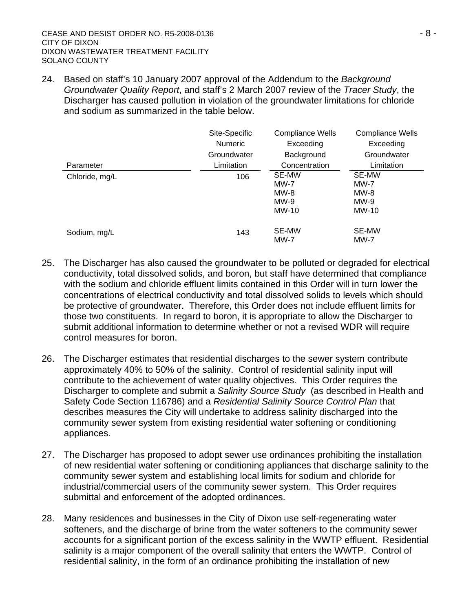24. Based on staff's 10 January 2007 approval of the Addendum to the *Background Groundwater Quality Report*, and staff's 2 March 2007 review of the *Tracer Study*, the Discharger has caused pollution in violation of the groundwater limitations for chloride and sodium as summarized in the table below.

|                | Site-Specific<br><b>Numeric</b><br>Groundwater | <b>Compliance Wells</b><br>Exceeding<br>Background | Compliance Wells<br>Exceeding<br>Groundwater |
|----------------|------------------------------------------------|----------------------------------------------------|----------------------------------------------|
| Parameter      | Limitation                                     | Concentration                                      | Limitation                                   |
| Chloride, mg/L | 106                                            | SE-MW<br>MW-7<br>$MW-8$<br>$MW-9$<br><b>MW-10</b>  | SE-MW<br>MW-7<br>$MW-8$<br>$MW-9$<br>MW-10   |
| Sodium, mg/L   | 143                                            | <b>SE-MW</b><br><b>MW-7</b>                        | SE-MW<br>MW-7                                |

- 25. The Discharger has also caused the groundwater to be polluted or degraded for electrical conductivity, total dissolved solids, and boron, but staff have determined that compliance with the sodium and chloride effluent limits contained in this Order will in turn lower the concentrations of electrical conductivity and total dissolved solids to levels which should be protective of groundwater. Therefore, this Order does not include effluent limits for those two constituents. In regard to boron, it is appropriate to allow the Discharger to submit additional information to determine whether or not a revised WDR will require control measures for boron.
- 26. The Discharger estimates that residential discharges to the sewer system contribute approximately 40% to 50% of the salinity. Control of residential salinity input will contribute to the achievement of water quality objectives. This Order requires the Discharger to complete and submit a *Salinity Source Study* (as described in Health and Safety Code Section 116786) and a *Residential Salinity Source Control Plan* that describes measures the City will undertake to address salinity discharged into the community sewer system from existing residential water softening or conditioning appliances.
- 27. The Discharger has proposed to adopt sewer use ordinances prohibiting the installation of new residential water softening or conditioning appliances that discharge salinity to the community sewer system and establishing local limits for sodium and chloride for industrial/commercial users of the community sewer system. This Order requires submittal and enforcement of the adopted ordinances.
- 28. Many residences and businesses in the City of Dixon use self-regenerating water softeners, and the discharge of brine from the water softeners to the community sewer accounts for a significant portion of the excess salinity in the WWTP effluent. Residential salinity is a major component of the overall salinity that enters the WWTP. Control of residential salinity, in the form of an ordinance prohibiting the installation of new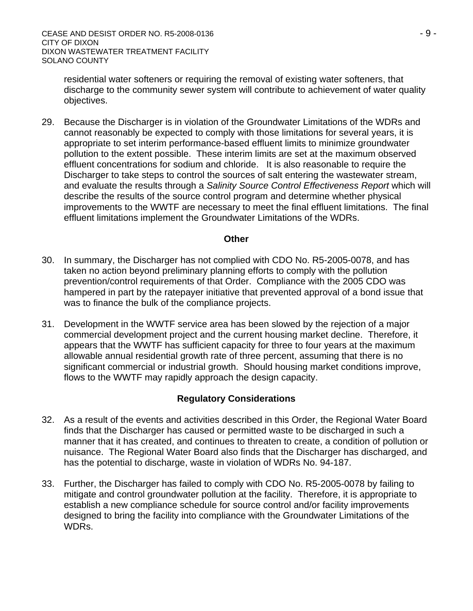residential water softeners or requiring the removal of existing water softeners, that discharge to the community sewer system will contribute to achievement of water quality objectives.

29. Because the Discharger is in violation of the Groundwater Limitations of the WDRs and cannot reasonably be expected to comply with those limitations for several years, it is appropriate to set interim performance-based effluent limits to minimize groundwater pollution to the extent possible. These interim limits are set at the maximum observed effluent concentrations for sodium and chloride. It is also reasonable to require the Discharger to take steps to control the sources of salt entering the wastewater stream, and evaluate the results through a *Salinity Source Control Effectiveness Report* which will describe the results of the source control program and determine whether physical improvements to the WWTF are necessary to meet the final effluent limitations. The final effluent limitations implement the Groundwater Limitations of the WDRs.

#### **Other**

- 30. In summary, the Discharger has not complied with CDO No. R5-2005-0078, and has taken no action beyond preliminary planning efforts to comply with the pollution prevention/control requirements of that Order. Compliance with the 2005 CDO was hampered in part by the ratepayer initiative that prevented approval of a bond issue that was to finance the bulk of the compliance projects.
- 31. Development in the WWTF service area has been slowed by the rejection of a major commercial development project and the current housing market decline. Therefore, it appears that the WWTF has sufficient capacity for three to four years at the maximum allowable annual residential growth rate of three percent, assuming that there is no significant commercial or industrial growth. Should housing market conditions improve, flows to the WWTF may rapidly approach the design capacity.

#### **Regulatory Considerations**

- 32. As a result of the events and activities described in this Order, the Regional Water Board finds that the Discharger has caused or permitted waste to be discharged in such a manner that it has created, and continues to threaten to create, a condition of pollution or nuisance. The Regional Water Board also finds that the Discharger has discharged, and has the potential to discharge, waste in violation of WDRs No. 94-187.
- 33. Further, the Discharger has failed to comply with CDO No. R5-2005-0078 by failing to mitigate and control groundwater pollution at the facility. Therefore, it is appropriate to establish a new compliance schedule for source control and/or facility improvements designed to bring the facility into compliance with the Groundwater Limitations of the WDRs.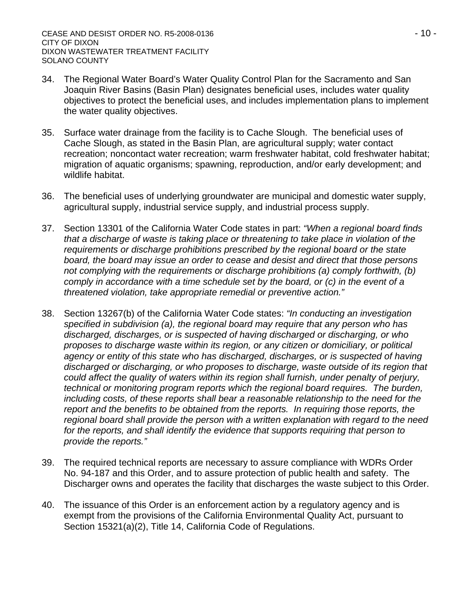- 34. The Regional Water Board's Water Quality Control Plan for the Sacramento and San Joaquin River Basins (Basin Plan) designates beneficial uses, includes water quality objectives to protect the beneficial uses, and includes implementation plans to implement the water quality objectives.
- 35. Surface water drainage from the facility is to Cache Slough. The beneficial uses of Cache Slough, as stated in the Basin Plan, are agricultural supply; water contact recreation; noncontact water recreation; warm freshwater habitat, cold freshwater habitat; migration of aquatic organisms; spawning, reproduction, and/or early development; and wildlife habitat.
- 36. The beneficial uses of underlying groundwater are municipal and domestic water supply, agricultural supply, industrial service supply, and industrial process supply.
- 37. Section 13301 of the California Water Code states in part: *"When a regional board finds that a discharge of waste is taking place or threatening to take place in violation of the requirements or discharge prohibitions prescribed by the regional board or the state board, the board may issue an order to cease and desist and direct that those persons not complying with the requirements or discharge prohibitions (a) comply forthwith, (b) comply in accordance with a time schedule set by the board, or (c) in the event of a threatened violation, take appropriate remedial or preventive action."*
- 38. Section 13267(b) of the California Water Code states: *"In conducting an investigation specified in subdivision (a), the regional board may require that any person who has discharged, discharges, or is suspected of having discharged or discharging, or who proposes to discharge waste within its region, or any citizen or domiciliary, or political agency or entity of this state who has discharged, discharges, or is suspected of having discharged or discharging, or who proposes to discharge, waste outside of its region that could affect the quality of waters within its region shall furnish, under penalty of perjury, technical or monitoring program reports which the regional board requires. The burden, including costs, of these reports shall bear a reasonable relationship to the need for the report and the benefits to be obtained from the reports. In requiring those reports, the regional board shall provide the person with a written explanation with regard to the need*  for the reports, and shall identify the evidence that supports requiring that person to *provide the reports."*
- 39. The required technical reports are necessary to assure compliance with WDRs Order No. 94-187 and this Order, and to assure protection of public health and safety. The Discharger owns and operates the facility that discharges the waste subject to this Order.
- 40. The issuance of this Order is an enforcement action by a regulatory agency and is exempt from the provisions of the California Environmental Quality Act, pursuant to Section 15321(a)(2), Title 14, California Code of Regulations.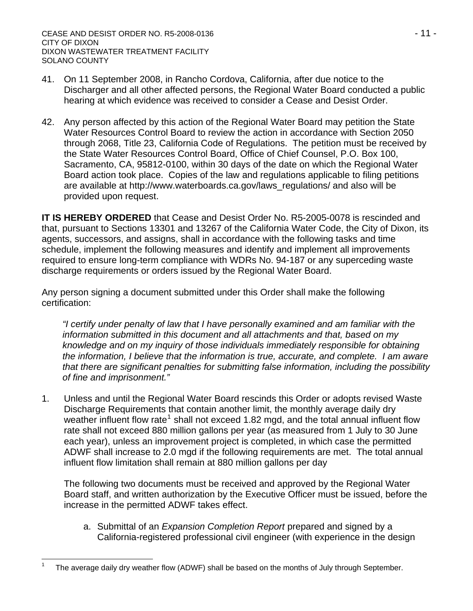- 41. On 11 September 2008, in Rancho Cordova, California, after due notice to the Discharger and all other affected persons, the Regional Water Board conducted a public hearing at which evidence was received to consider a Cease and Desist Order.
- 42. Any person affected by this action of the Regional Water Board may petition the State Water Resources Control Board to review the action in accordance with Section 2050 through 2068, Title 23, California Code of Regulations. The petition must be received by the State Water Resources Control Board, Office of Chief Counsel, P.O. Box 100, Sacramento, CA, 95812-0100, within 30 days of the date on which the Regional Water Board action took place. Copies of the law and regulations applicable to filing petitions are available at http://www.waterboards.ca.gov/laws\_regulations/ and also will be provided upon request.

**IT IS HEREBY ORDERED** that Cease and Desist Order No. R5-2005-0078 is rescinded and that, pursuant to Sections 13301 and 13267 of the California Water Code, the City of Dixon, its agents, successors, and assigns, shall in accordance with the following tasks and time schedule, implement the following measures and identify and implement all improvements required to ensure long-term compliance with WDRs No. 94-187 or any superceding waste discharge requirements or orders issued by the Regional Water Board.

Any person signing a document submitted under this Order shall make the following certification:

*"I certify under penalty of law that I have personally examined and am familiar with the information submitted in this document and all attachments and that, based on my knowledge and on my inquiry of those individuals immediately responsible for obtaining the information, I believe that the information is true, accurate, and complete. I am aware that there are significant penalties for submitting false information, including the possibility of fine and imprisonment."* 

1. Unless and until the Regional Water Board rescinds this Order or adopts revised Waste Discharge Requirements that contain another limit, the monthly average daily dry weather influent flow rate<sup>[1](#page-10-0)</sup> shall not exceed 1.82 mgd, and the total annual influent flow rate shall not exceed 880 million gallons per year (as measured from 1 July to 30 June each year), unless an improvement project is completed, in which case the permitted ADWF shall increase to 2.0 mgd if the following requirements are met. The total annual influent flow limitation shall remain at 880 million gallons per day

The following two documents must be received and approved by the Regional Water Board staff, and written authorization by the Executive Officer must be issued, before the increase in the permitted ADWF takes effect.

a. Submittal of an *Expansion Completion Report* prepared and signed by a California-registered professional civil engineer (with experience in the design

 $\overline{a}$ 

<span id="page-10-0"></span>1

The average daily dry weather flow (ADWF) shall be based on the months of July through September.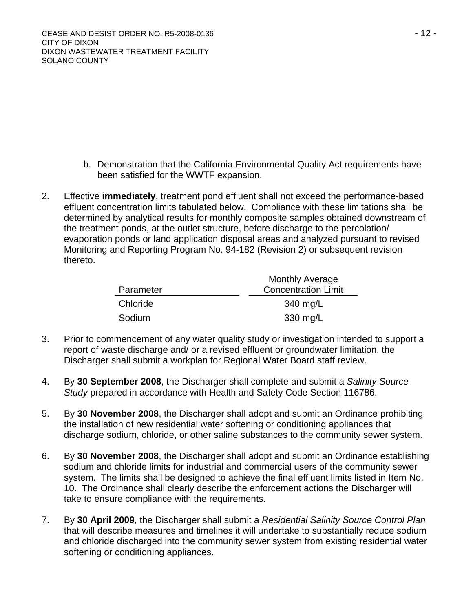- b. Demonstration that the California Environmental Quality Act requirements have been satisfied for the WWTF expansion.
- 2. Effective **immediately**, treatment pond effluent shall not exceed the performance-based effluent concentration limits tabulated below. Compliance with these limitations shall be determined by analytical results for monthly composite samples obtained downstream of the treatment ponds, at the outlet structure, before discharge to the percolation/ evaporation ponds or land application disposal areas and analyzed pursuant to revised Monitoring and Reporting Program No. 94-182 (Revision 2) or subsequent revision thereto.

|           | <b>Monthly Average</b>     |
|-----------|----------------------------|
| Parameter | <b>Concentration Limit</b> |
| Chloride  | 340 mg/L                   |
| Sodium    | 330 mg/L                   |

- 3. Prior to commencement of any water quality study or investigation intended to support a report of waste discharge and/ or a revised effluent or groundwater limitation, the Discharger shall submit a workplan for Regional Water Board staff review.
- 4. By **30 September 2008**, the Discharger shall complete and submit a *Salinity Source Study* prepared in accordance with Health and Safety Code Section 116786.
- 5. By **30 November 2008**, the Discharger shall adopt and submit an Ordinance prohibiting the installation of new residential water softening or conditioning appliances that discharge sodium, chloride, or other saline substances to the community sewer system.
- 6. By **30 November 2008**, the Discharger shall adopt and submit an Ordinance establishing sodium and chloride limits for industrial and commercial users of the community sewer system. The limits shall be designed to achieve the final effluent limits listed in Item No. 10. The Ordinance shall clearly describe the enforcement actions the Discharger will take to ensure compliance with the requirements.
- 7. By **30 April 2009**, the Discharger shall submit a *Residential Salinity Source Control Plan* that will describe measures and timelines it will undertake to substantially reduce sodium and chloride discharged into the community sewer system from existing residential water softening or conditioning appliances.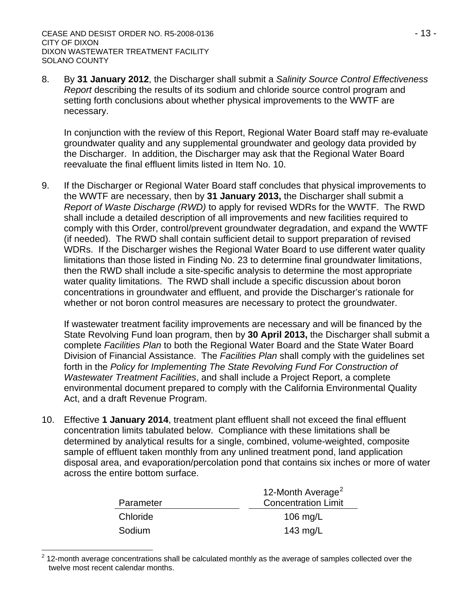8. By **31 January 2012**, the Discharger shall submit a *Salinity Source Control Effectiveness Report* describing the results of its sodium and chloride source control program and setting forth conclusions about whether physical improvements to the WWTF are necessary.

In conjunction with the review of this Report, Regional Water Board staff may re-evaluate groundwater quality and any supplemental groundwater and geology data provided by the Discharger. In addition, the Discharger may ask that the Regional Water Board reevaluate the final effluent limits listed in Item No. 10.

9. If the Discharger or Regional Water Board staff concludes that physical improvements to the WWTF are necessary, then by **31 January 2013,** the Discharger shall submit a *Report of Waste Discharge (RWD)* to apply for revised WDRs for the WWTF. The RWD shall include a detailed description of all improvements and new facilities required to comply with this Order, control/prevent groundwater degradation, and expand the WWTF (if needed). The RWD shall contain sufficient detail to support preparation of revised WDRs. If the Discharger wishes the Regional Water Board to use different water quality limitations than those listed in Finding No. 23 to determine final groundwater limitations, then the RWD shall include a site-specific analysis to determine the most appropriate water quality limitations. The RWD shall include a specific discussion about boron concentrations in groundwater and effluent, and provide the Discharger's rationale for whether or not boron control measures are necessary to protect the groundwater.

If wastewater treatment facility improvements are necessary and will be financed by the State Revolving Fund loan program, then by **30 April 2013,** the Discharger shall submit a complete *Facilities Plan* to both the Regional Water Board and the State Water Board Division of Financial Assistance. The *Facilities Plan* shall comply with the guidelines set forth in the *Policy for Implementing The State Revolving Fund For Construction of Wastewater Treatment Facilities*, and shall include a Project Report, a complete environmental document prepared to comply with the California Environmental Quality Act, and a draft Revenue Program.

10. Effective **1 January 2014**, treatment plant effluent shall not exceed the final effluent concentration limits tabulated below. Compliance with these limitations shall be determined by analytical results for a single, combined, volume-weighted, composite sample of effluent taken monthly from any unlined treatment pond, land application disposal area, and evaporation/percolation pond that contains six inches or more of water across the entire bottom surface.

|           | 12-Month Average <sup>2</sup> |
|-----------|-------------------------------|
| Parameter | <b>Concentration Limit</b>    |
| Chloride  | 106 $mg/L$                    |
| Sodium    | 143 $mg/L$                    |

<span id="page-12-0"></span> 2 12-month average concentrations shall be calculated monthly as the average of samples collected over the twelve most recent calendar months.